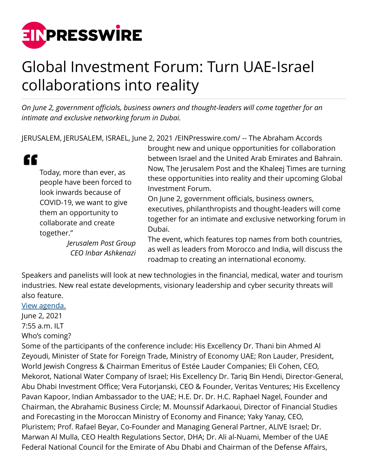

## Global Investment Forum: Turn UAE-Israel collaborations into reality

*On June 2, government officials, business owners and thought-leaders will come together for an intimate and exclusive networking forum in Dubai.*

JERUSALEM, JERUSALEM, ISRAEL, June 2, 2021 [/EINPresswire.com/](http://www.einpresswire.com) -- The Abraham Accords

| Today, more than ever, as  |
|----------------------------|
| people have been forced to |
| look inwards because of    |
| COVID-19, we want to give  |
| them an opportunity to     |
| collaborate and create     |
| together."                 |
|                            |

*Jerusalem Post Group CEO Inbar Ashkenazi*

brought new and unique opportunities for collaboration between Israel and the United Arab Emirates and Bahrain. Now, The Jerusalem Post and the Khaleej Times are turning these opportunities into reality and their upcoming Global Investment Forum.

On June 2, government officials, business owners, executives, philanthropists and thought-leaders will come together for an intimate and exclusive networking forum in Dubai.

The event, which features top names from both countries, as well as leaders from Morocco and India, will discuss the roadmap to creating an international economy.

Speakers and panelists will look at new technologies in the financial, medical, water and tourism industries. New real estate developments, visionary leadership and cyber security threats will also feature.

## [View agenda.](https://uae-israel-business-summit.web.app/agenda)

ſ

June 2, 2021

7:55 a.m. ILT

## Who's coming?

Some of the participants of the conference include: His Excellency Dr. Thani bin Ahmed Al Zeyoudi, Minister of State for Foreign Trade, Ministry of Economy UAE; Ron Lauder, President, World Jewish Congress & Chairman Emeritus of Estée Lauder Companies; Eli Cohen, CEO, Mekorot, National Water Company of Israel; His Excellency Dr. Tariq Bin Hendi, Director-General, Abu Dhabi Investment Office; Vera Futorjanski, CEO & Founder, Veritas Ventures; His Excellency Pavan Kapoor, Indian Ambassador to the UAE; H.E. Dr. Dr. H.C. Raphael Nagel, Founder and Chairman, the Abrahamic Business Circle; M. Mounssif Adarkaoui, Director of Financial Studies and Forecasting in the Moroccan Ministry of Economy and Finance; Yaky Yanay, CEO, Pluristem; Prof. Rafael Beyar, Co-Founder and Managing General Partner, ALIVE Israel; Dr. Marwan Al Mulla, CEO Health Regulations Sector, DHA; Dr. Ali al-Nuami, Member of the UAE Federal National Council for the Emirate of Abu Dhabi and Chairman of the Defense Affairs,